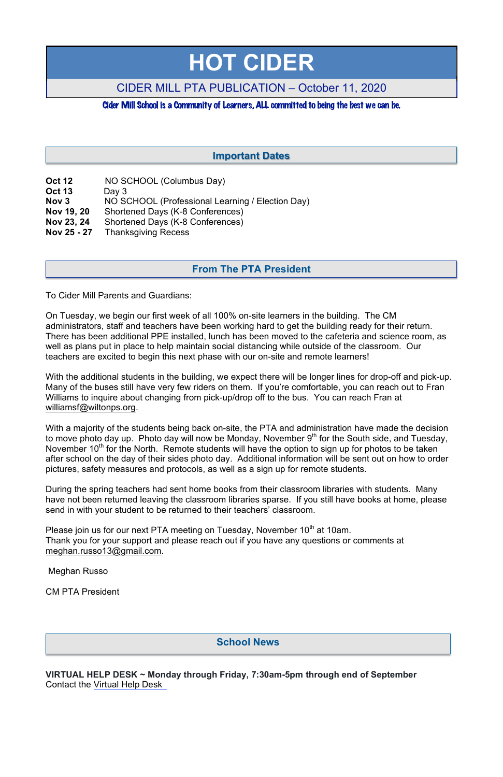# **HOT CIDER**

# CIDER MILL PTA PUBLICATION – October 11, 2020

Cider Mill School is a Community of Learners,ALL committed to being the best we can be.

| <b>Oct 12</b>    | NO SCHOOL (Columbus Day)                         |
|------------------|--------------------------------------------------|
| <b>Oct 13</b>    | Day $3$                                          |
| Nov <sub>3</sub> | NO SCHOOL (Professional Learning / Election Day) |
| Nov 19, 20       | Shortened Days (K-8 Conferences)                 |
| Nov 23, 24       | Shortened Days (K-8 Conferences)                 |
| Nov 25 - 27      | <b>Thanksgiving Recess</b>                       |

To Cider Mill Parents and Guardians:

On Tuesday, we begin our first week of all 100% on-site learners in the building. The CM administrators, staff and teachers have been working hard to get the building ready for their return. There has been additional PPE installed, lunch has been moved to the cafeteria and science room, as well as plans put in place to help maintain social distancing while outside of the classroom. Our teachers are excited to begin this next phase with our on-site and remote learners!

With the additional students in the building, we expect there will be longer lines for drop-off and pick-up. Many of the buses still have very few riders on them. If you're comfortable, you can reach out to Fran Williams to inquire about changing from pick-up/drop off to the bus. You can reach Fran at williamsf@wiltonps.org.

Please join us for our next PTA meeting on Tuesday, November  $10<sup>th</sup>$  at 10am. Thank you for your support and please reach out if you have any questions or comments at meghan.russo13@gmail.com.

With a majority of the students being back on-site, the PTA and administration have made the decision to move photo day up. Photo day will now be Monday, November  $9<sup>th</sup>$  for the South side, and Tuesday, November  $10<sup>th</sup>$  for the North. Remote students will have the option to sign up for photos to be taken after school on the day of their sides photo day. Additional information will be sent out on how to order pictures, safety measures and protocols, as well as a sign up for remote students.

During the spring teachers had sent home books from their classroom libraries with students. Many have not been returned leaving the classroom libraries sparse. If you still have books at home, please send in with your student to be returned to their teachers' classroom.

Meghan Russo

CM PTA President

**VIRTUAL HELP DESK ~ Monday through Friday, 7:30am-5pm through end of September** Contact the Virtual Help Desk

# **From The PTA President**

# **Important Dates**

### **School News**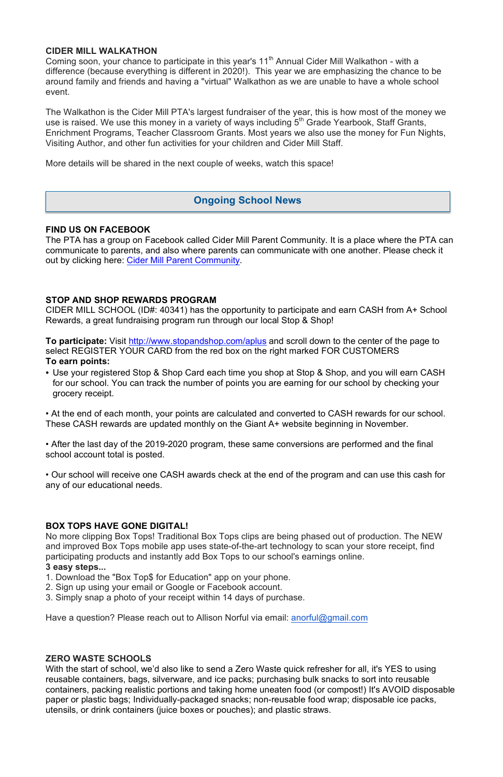#### **CIDER MILL WALKATHON**

Coming soon, your chance to participate in this year's 11<sup>th</sup> Annual Cider Mill Walkathon - with a difference (because everything is different in 2020!). This year we are emphasizing the chance to be around family and friends and having a "virtual" Walkathon as we are unable to have a whole school event.

The Walkathon is the Cider Mill PTA's largest fundraiser of the year, this is how most of the money we use is raised. We use this money in a variety of ways including 5<sup>th</sup> Grade Yearbook, Staff Grants, Enrichment Programs, Teacher Classroom Grants. Most years we also use the money for Fun Nights, Visiting Author, and other fun activities for your children and Cider Mill Staff.

More details will be shared in the next couple of weeks, watch this space!

#### **FIND US ON FACEBOOK**

The PTA has a group on Facebook called Cider Mill Parent Community. It is a place where the PTA can communicate to parents, and also where parents can communicate with one another. Please check it out by clicking here: Cider Mill Parent Community.

#### **STOP AND SHOP REWARDS PROGRAM**

CIDER MILL SCHOOL (ID#: 40341) has the opportunity to participate and earn CASH from A+ School Rewards, a great fundraising program run through our local Stop & Shop!

**To participate:** Visit http://www.stopandshop.com/aplus and scroll down to the center of the page to select REGISTER YOUR CARD from the red box on the right marked FOR CUSTOMERS **To earn points:**

• Use your registered Stop & Shop Card each time you shop at Stop & Shop, and you will earn CASH for our school. You can track the number of points you are earning for our school by checking your grocery receipt.

With the start of school, we'd also like to send a Zero Waste quick refresher for all, it's YES to using reusable containers, bags, silverware, and ice packs; purchasing bulk snacks to sort into reusable containers, packing realistic portions and taking home uneaten food (or compost!) It's AVOID disposable paper or plastic bags; Individually-packaged snacks; non-reusable food wrap; disposable ice packs, utensils, or drink containers (juice boxes or pouches); and plastic straws.

• At the end of each month, your points are calculated and converted to CASH rewards for our school. These CASH rewards are updated monthly on the Giant A+ website beginning in November.

• After the last day of the 2019-2020 program, these same conversions are performed and the final school account total is posted.

• Our school will receive one CASH awards check at the end of the program and can use this cash for any of our educational needs.

#### **BOX TOPS HAVE GONE DIGITAL!**

No more clipping Box Tops! Traditional Box Tops clips are being phased out of production. The NEW and improved Box Tops mobile app uses state-of-the-art technology to scan your store receipt, find participating products and instantly add Box Tops to our school's earnings online. **3 easy steps...**

1. Download the "Box Top\$ for Education" app on your phone.

- 2. Sign up using your email or Google or Facebook account.
- 3. Simply snap a photo of your receipt within 14 days of purchase.

Have a question? Please reach out to Allison Norful via email: anorful@gmail.com

#### **ZERO WASTE SCHOOLS**

# **Ongoing School News**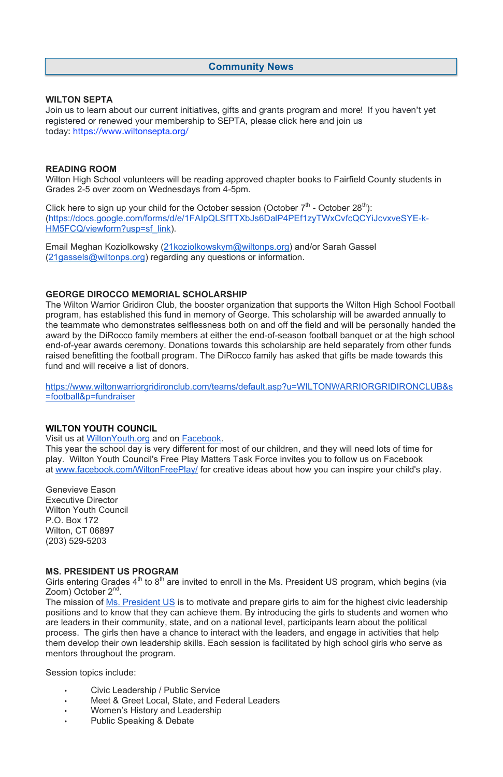#### **WILTON SEPTA**

Join us to learn about our current initiatives, gifts and grants program and more! If you haven't yet registered or renewed your membership to SEPTA, please click here and join us today: https://www.wiltonsepta.org/

#### **READING ROOM**

Click here to sign up your child for the October session (October  $7<sup>th</sup>$  - October 28<sup>th</sup>): (https://docs.google.com/forms/d/e/1FAIpQLSfTTXbJs6DalP4PEf1zyTWxCvfcQCYiJcvxveSYE-k-HM5FCQ/viewform?usp=sf\_link).

Wilton High School volunteers will be reading approved chapter books to Fairfield County students in Grades 2-5 over zoom on Wednesdays from 4-5pm.

The Wilton Warrior Gridiron Club, the booster organization that supports the Wilton High School Football program, has established this fund in memory of George. This scholarship will be awarded annually to the teammate who demonstrates selflessness both on and off the field and will be personally handed the award by the DiRocco family members at either the end-of-season football banquet or at the high school end-of-year awards ceremony. Donations towards this scholarship are held separately from other funds raised benefitting the football program. The DiRocco family has asked that gifts be made towards this fund and will receive a list of donors.

Email Meghan Koziolkowsky (21koziolkowskym@wiltonps.org) and/or Sarah Gassel (21gassels@wiltonps.org) regarding any questions or information.

#### **GEORGE DIROCCO MEMORIAL SCHOLARSHIP**

The mission of Ms. President US is to motivate and prepare girls to aim for the highest civic leadership positions and to know that they can achieve them. By introducing the girls to students and women who are leaders in their community, state, and on a national level, participants learn about the political process. The girls then have a chance to interact with the leaders, and engage in activities that help them develop their own leadership skills. Each session is facilitated by high school girls who serve as mentors throughout the program.

https://www.wiltonwarriorgridironclub.com/teams/default.asp?u=WILTONWARRIORGRIDIRONCLUB&s =football&p=fundraiser

#### **WILTON YOUTH COUNCIL**

Visit us at WiltonYouth.org and on Facebook.

This year the school day is very different for most of our children, and they will need lots of time for play. Wilton Youth Council's Free Play Matters Task Force invites you to follow us on Facebook at www.facebook.com/WiltonFreePlay/ for creative ideas about how you can inspire your child's play.

Genevieve Eason Executive Director Wilton Youth Council P.O. Box 172 Wilton, CT 06897 (203) 529-5203

#### **MS. PRESIDENT US PROGRAM**

Girls entering Grades  $4<sup>th</sup>$  to  $8<sup>th</sup>$  are invited to enroll in the Ms. President US program, which begins (via Zoom) October 2<sup>nd</sup>.

Session topics include:

- Civic Leadership / Public Service
- Meet & Greet Local, State, and Federal Leaders
- Women's History and Leadership
- Public Speaking & Debate

## **Community News**